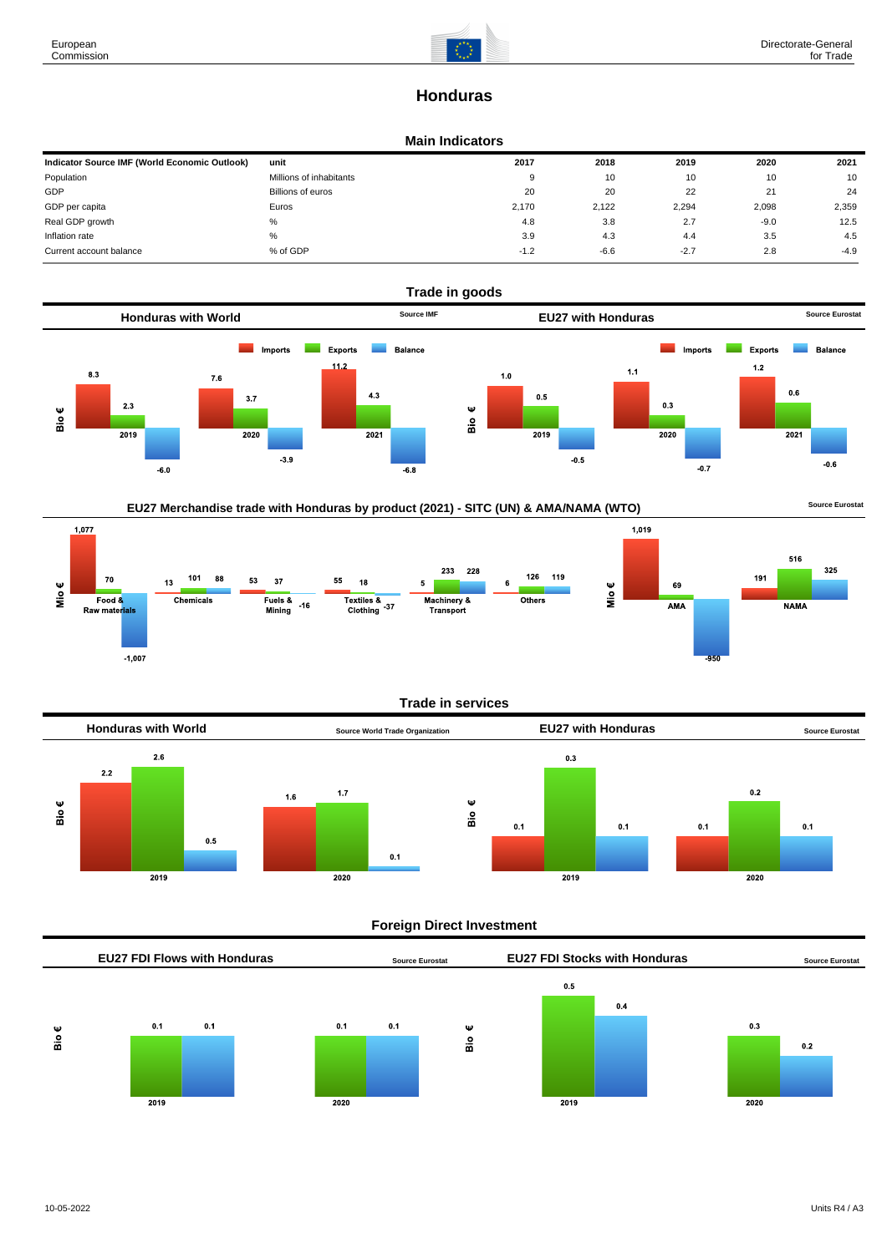# **Honduras**

## **Main Indicators**

| Indicator Source IMF (World Economic Outlook) | unit                    | 2017   | 2018   | 2019   | 2020   | 2021   |
|-----------------------------------------------|-------------------------|--------|--------|--------|--------|--------|
| Population                                    | Millions of inhabitants | 9      | 10     | 10     | 10     | 10     |
| GDP                                           | Billions of euros       | 20     | 20     | 22     | 21     | 24     |
| GDP per capita                                | Euros                   | 2.170  | 2,122  | 2,294  | 2,098  | 2,359  |
| Real GDP growth                               | %                       | 4.8    | 3.8    | 2.7    | $-9.0$ | 12.5   |
| Inflation rate                                | %                       | 3.9    | 4.3    | 4.4    | 3.5    | 4.5    |
| Current account balance                       | % of GDP                | $-1.2$ | $-6.6$ | $-2.7$ | 2.8    | $-4.9$ |









Mio€

## **Trade in services**



### **Foreign Direct Investment**